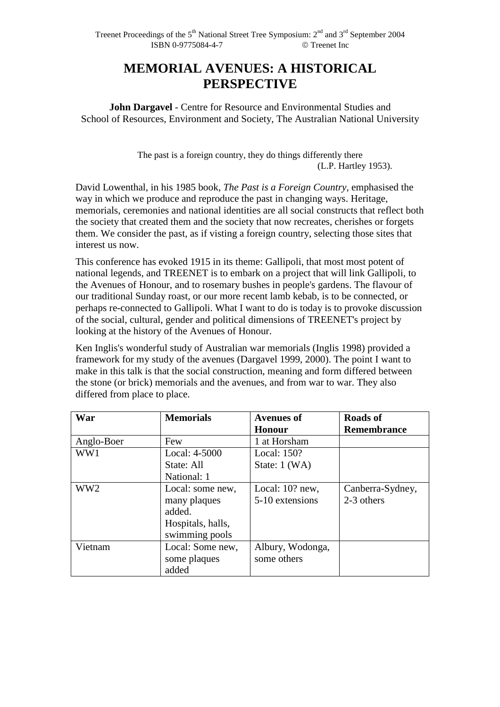# **MEMORIAL AVENUES: A HISTORICAL PERSPECTIVE**

**John Dargavel** - Centre for Resource and Environmental Studies and School of Resources, Environment and Society, The Australian National University

> The past is a foreign country, they do things differently there (L.P. Hartley 1953).

David Lowenthal, in his 1985 book, *The Past is a Foreign Country,* emphasised the way in which we produce and reproduce the past in changing ways. Heritage, memorials, ceremonies and national identities are all social constructs that reflect both the society that created them and the society that now recreates, cherishes or forgets them. We consider the past, as if visting a foreign country, selecting those sites that interest us now.

This conference has evoked 1915 in its theme: Gallipoli, that most most potent of national legends, and TREENET is to embark on a project that will link Gallipoli, to the Avenues of Honour, and to rosemary bushes in people's gardens. The flavour of our traditional Sunday roast, or our more recent lamb kebab, is to be connected, or perhaps re-connected to Gallipoli. What I want to do is today is to provoke discussion of the social, cultural, gender and political dimensions of TREENET's project by looking at the history of the Avenues of Honour.

Ken Inglis's wonderful study of Australian war memorials (Inglis 1998) provided a framework for my study of the avenues (Dargavel 1999, 2000). The point I want to make in this talk is that the social construction, meaning and form differed between the stone (or brick) memorials and the avenues, and from war to war. They also differed from place to place.

| War             | <b>Memorials</b>  | <b>Avenues of</b> | <b>Roads of</b>    |
|-----------------|-------------------|-------------------|--------------------|
|                 |                   | <b>Honour</b>     | <b>Remembrance</b> |
| Anglo-Boer      | Few               | 1 at Horsham      |                    |
| WW1             | Local: 4-5000     | Local: 150?       |                    |
|                 | State: All        | State: $1$ (WA)   |                    |
|                 | National: 1       |                   |                    |
| WW <sub>2</sub> | Local: some new,  | Local: 10? new,   | Canberra-Sydney,   |
|                 | many plaques      | 5-10 extensions   | 2-3 others         |
|                 | added.            |                   |                    |
|                 | Hospitals, halls, |                   |                    |
|                 | swimming pools    |                   |                    |
| Vietnam         | Local: Some new,  | Albury, Wodonga,  |                    |
|                 | some plaques      | some others       |                    |
|                 | added             |                   |                    |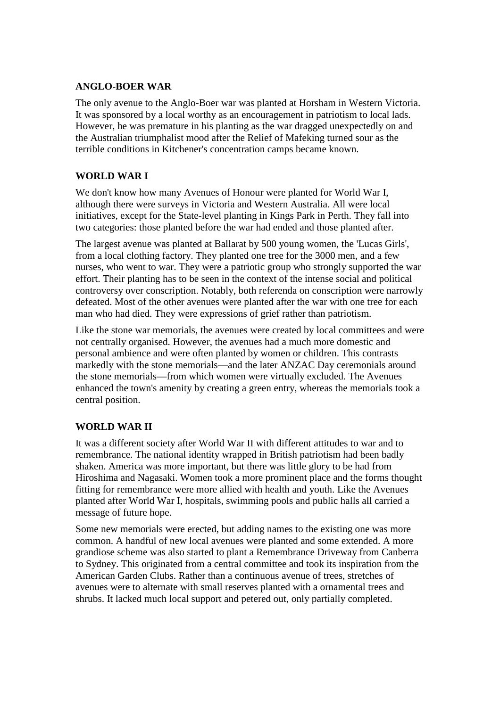## **ANGLO-BOER WAR**

The only avenue to the Anglo-Boer war was planted at Horsham in Western Victoria. It was sponsored by a local worthy as an encouragement in patriotism to local lads. However, he was premature in his planting as the war dragged unexpectedly on and the Australian triumphalist mood after the Relief of Mafeking turned sour as the terrible conditions in Kitchener's concentration camps became known.

# **WORLD WAR I**

We don't know how many Avenues of Honour were planted for World War I, although there were surveys in Victoria and Western Australia. All were local initiatives, except for the State-level planting in Kings Park in Perth. They fall into two categories: those planted before the war had ended and those planted after.

The largest avenue was planted at Ballarat by 500 young women, the 'Lucas Girls', from a local clothing factory. They planted one tree for the 3000 men, and a few nurses, who went to war. They were a patriotic group who strongly supported the war effort. Their planting has to be seen in the context of the intense social and political controversy over conscription. Notably, both referenda on conscription were narrowly defeated. Most of the other avenues were planted after the war with one tree for each man who had died. They were expressions of grief rather than patriotism.

Like the stone war memorials, the avenues were created by local committees and were not centrally organised. However, the avenues had a much more domestic and personal ambience and were often planted by women or children. This contrasts markedly with the stone memorials—and the later ANZAC Day ceremonials around the stone memorials—from which women were virtually excluded. The Avenues enhanced the town's amenity by creating a green entry, whereas the memorials took a central position.

# **WORLD WAR II**

It was a different society after World War II with different attitudes to war and to remembrance. The national identity wrapped in British patriotism had been badly shaken. America was more important, but there was little glory to be had from Hiroshima and Nagasaki. Women took a more prominent place and the forms thought fitting for remembrance were more allied with health and youth. Like the Avenues planted after World War I, hospitals, swimming pools and public halls all carried a message of future hope.

Some new memorials were erected, but adding names to the existing one was more common. A handful of new local avenues were planted and some extended. A more grandiose scheme was also started to plant a Remembrance Driveway from Canberra to Sydney. This originated from a central committee and took its inspiration from the American Garden Clubs. Rather than a continuous avenue of trees, stretches of avenues were to alternate with small reserves planted with a ornamental trees and shrubs. It lacked much local support and petered out, only partially completed.